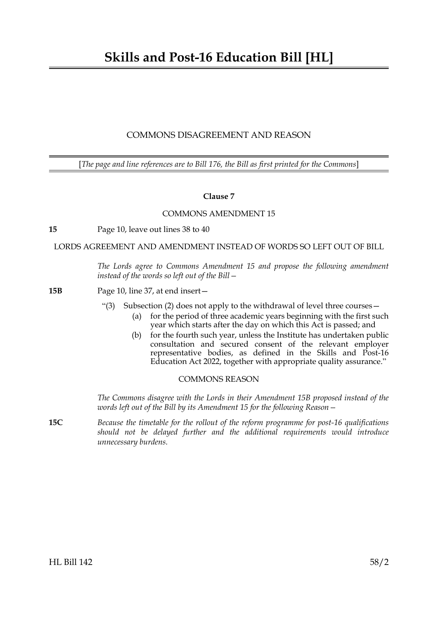## COMMONS DISAGREEMENT AND REASON

[*The page and line references are to Bill 176, the Bill as first printed for the Commons*]

## **Clause 7**

## COMMONS AMENDMENT 15

**15** Page 10, leave out lines 38 to 40

LORDS AGREEMENT AND AMENDMENT INSTEAD OF WORDS SO LEFT OUT OF BILL

*The Lords agree to Commons Amendment 15 and propose the following amendment instead of the words so left out of the Bill—*

**15B** Page 10, line 37, at end insert—

- "(3) Subsection (2) does not apply to the withdrawal of level three courses—
	- (a) for the period of three academic years beginning with the first such year which starts after the day on which this Act is passed; and
		- (b) for the fourth such year, unless the Institute has undertaken public consultation and secured consent of the relevant employer representative bodies, as defined in the Skills and Post-16 Education Act 2022, together with appropriate quality assurance."

## COMMONS REASON

*The Commons disagree with the Lords in their Amendment 15B proposed instead of the words left out of the Bill by its Amendment 15 for the following Reason—*

**15C** *Because the timetable for the rollout of the reform programme for post-16 qualifications should not be delayed further and the additional requirements would introduce unnecessary burdens.*